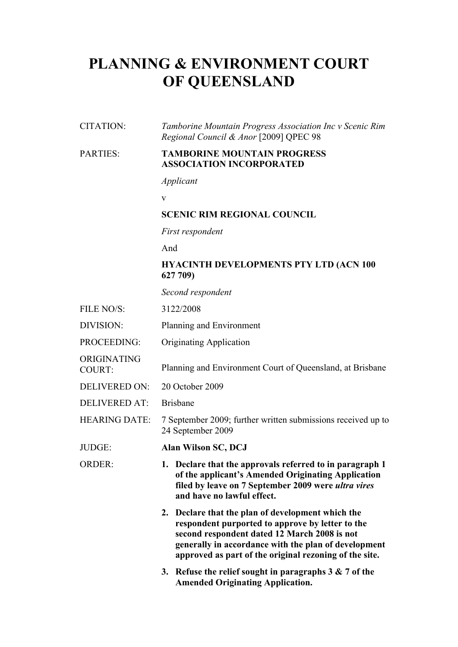# **PLANNING & ENVIRONMENT COURT OF QUEENSLAND**

#### CITATION: *Tamborine Mountain Progress Association Inc v Scenic Rim Regional Council & Anor* [2009] QPEC 98

#### PARTIES: **TAMBORINE MOUNTAIN PROGRESS ASSOCIATION INCORPORATED**

*Applicant*

v

## **SCENIC RIM REGIONAL COUNCIL**

*First respondent*

And

## **HYACINTH DEVELOPMENTS PTY LTD (ACN 100 627 709)**

*Second respondent*

- FILE NO/S: 3122/2008
- DIVISION: Planning and Environment
- PROCEEDING: Originating Application
- COURT: Planning and Environment Court of Queensland, at Brisbane
- DELIVERED ON: 20 October 2009
- DELIVERED AT: Brisbane

ORIGINATING

- HEARING DATE: 7 September 2009; further written submissions received up to 24 September 2009
- JUDGE: **Alan Wilson SC, DCJ**
- ORDER: **1. Declare that the approvals referred to in paragraph 1 of the applicant's Amended Originating Application filed by leave on 7 September 2009 were** *ultra vires* **and have no lawful effect.**
	- **2. Declare that the plan of development which the respondent purported to approve by letter to the second respondent dated 12 March 2008 is not generally in accordance with the plan of development approved as part of the original rezoning of the site.**
	- **3. Refuse the relief sought in paragraphs 3 & 7 of the Amended Originating Application.**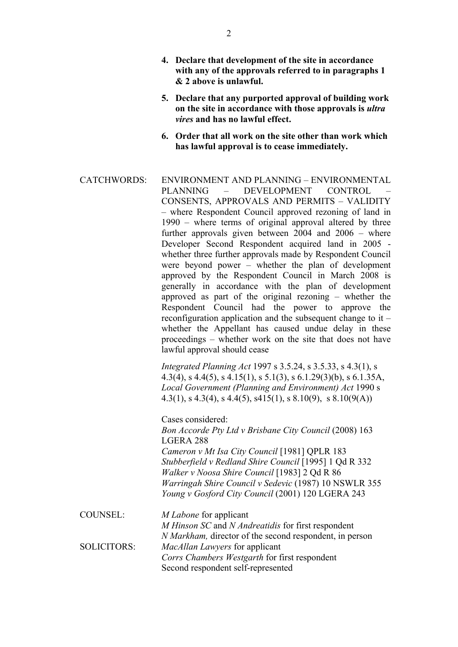- **4. Declare that development of the site in accordance with any of the approvals referred to in paragraphs 1 & 2 above is unlawful.**
- **5. Declare that any purported approval of building work on the site in accordance with those approvals is** *ultra vires* **and has no lawful effect.**
- **6. Order that all work on the site other than work which has lawful approval is to cease immediately.**
- CATCHWORDS: ENVIRONMENT AND PLANNING ENVIRONMENTAL PLANNING – DEVELOPMENT CONTROL CONSENTS, APPROVALS AND PERMITS – VALIDITY – where Respondent Council approved rezoning of land in 1990 – where terms of original approval altered by three further approvals given between  $2004$  and  $2006 -$  where Developer Second Respondent acquired land in 2005 whether three further approvals made by Respondent Council were beyond power – whether the plan of development approved by the Respondent Council in March 2008 is generally in accordance with the plan of development approved as part of the original rezoning – whether the Respondent Council had the power to approve the reconfiguration application and the subsequent change to it – whether the Appellant has caused undue delay in these proceedings – whether work on the site that does not have lawful approval should cease *Integrated Planning Act* 1997 s 3.5.24, s 3.5.33, s 4.3(1), s 4.3(4), s 4.4(5), s 4.15(1), s 5.1(3), s 6.1.29(3)(b), s 6.1.35A, *Local Government (Planning and Environment) Act* 1990 s 4.3(1), s 4.3(4), s 4.4(5), s 415(1), s 8.10(9), s 8.10(9(A)) Cases considered: *Bon Accorde Pty Ltd v Brisbane City Council* (2008) 163

LGERA 288 *Cameron v Mt Isa City Council* [1981] QPLR 183 *Stubberfield v Redland Shire Council* [1995] 1 Qd R 332 *Walker v Noosa Shire Council* [1983] 2 Qd R 86 *Warringah Shire Council v Sedevic* (1987) 10 NSWLR 355 *Young v Gosford City Council* (2001) 120 LGERA 243

COUNSEL: *M Labone* for applicant *M Hinson SC* and *N Andreatidis* for first respondent *N Markham,* director of the second respondent, in person SOLICITORS: *MacAllan Lawyers* for applicant *Corrs Chambers Westgarth* for first respondent Second respondent self-represented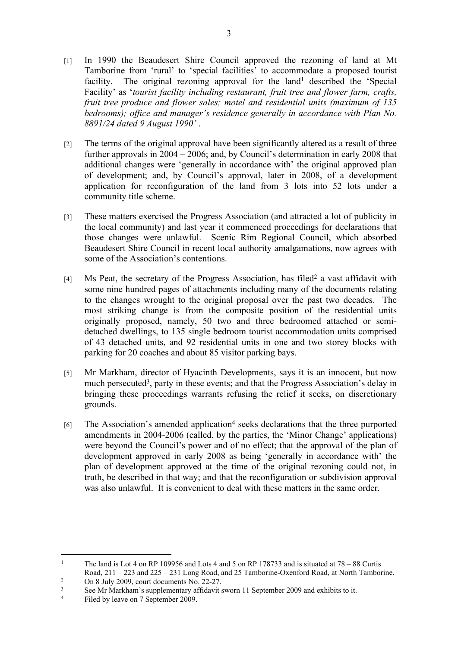- [1] In 1990 the Beaudesert Shire Council approved the rezoning of land at Mt Tamborine from 'rural' to 'special facilities' to accommodate a proposed tourist facility. The original rezoning approval for the land<sup>1</sup> described the 'Special Facility' as '*tourist facility including restaurant, fruit tree and flower farm, crafts, fruit tree produce and flower sales; motel and residential units (maximum of 135 bedrooms); office and manager's residence generally in accordance with Plan No. 8891/24 dated 9 August 1990'* .
- [2] The terms of the original approval have been significantly altered as a result of three further approvals in 2004 – 2006; and, by Council's determination in early 2008 that additional changes were 'generally in accordance with' the original approved plan of development; and, by Council's approval, later in 2008, of a development application for reconfiguration of the land from 3 lots into 52 lots under a community title scheme.
- [3] These matters exercised the Progress Association (and attracted a lot of publicity in the local community) and last year it commenced proceedings for declarations that those changes were unlawful. Scenic Rim Regional Council, which absorbed Beaudesert Shire Council in recent local authority amalgamations, now agrees with some of the Association's contentions.
- [4] Ms Peat, the secretary of the Progress Association, has filed<sup>2</sup> a vast affidavit with some nine hundred pages of attachments including many of the documents relating to the changes wrought to the original proposal over the past two decades. The most striking change is from the composite position of the residential units originally proposed, namely, 50 two and three bedroomed attached or semidetached dwellings, to 135 single bedroom tourist accommodation units comprised of 43 detached units, and 92 residential units in one and two storey blocks with parking for 20 coaches and about 85 visitor parking bays.
- [5] Mr Markham, director of Hyacinth Developments, says it is an innocent, but now much persecuted<sup>3</sup>, party in these events; and that the Progress Association's delay in bringing these proceedings warrants refusing the relief it seeks, on discretionary grounds.
- [6] The Association's amended application<sup>4</sup> seeks declarations that the three purported amendments in 2004-2006 (called, by the parties, the 'Minor Change' applications) were beyond the Council's power and of no effect; that the approval of the plan of development approved in early 2008 as being 'generally in accordance with' the plan of development approved at the time of the original rezoning could not, in truth, be described in that way; and that the reconfiguration or subdivision approval was also unlawful. It is convenient to deal with these matters in the same order.

<sup>1</sup> The land is Lot 4 on RP 109956 and Lots 4 and 5 on RP 178733 and is situated at 78 – 88 Curtis Road, 211 – 223 and 225 – 231 Long Road, and 25 Tamborine-Oxenford Road, at North Tamborine.

<sup>2</sup> On 8 July 2009, court documents No. 22-27.

<sup>3</sup> See Mr Markham's supplementary affidavit sworn 11 September 2009 and exhibits to it.

<sup>4</sup> Filed by leave on 7 September 2009.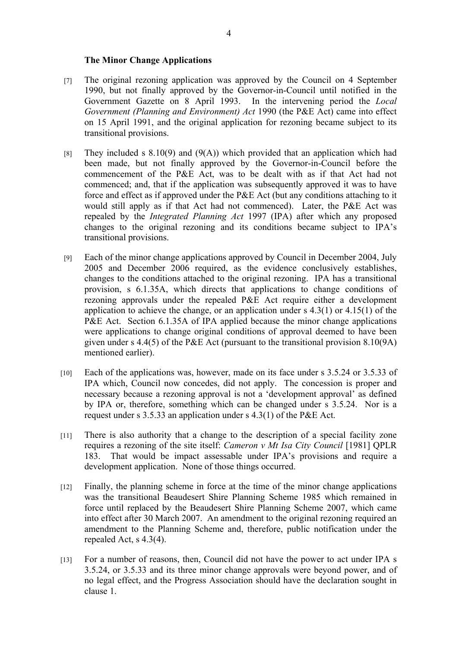#### **The Minor Change Applications**

- [7] The original rezoning application was approved by the Council on 4 September 1990, but not finally approved by the Governor-in-Council until notified in the Government Gazette on 8 April 1993. In the intervening period the *Local Government (Planning and Environment) Act* 1990 (the P&E Act) came into effect on 15 April 1991, and the original application for rezoning became subject to its transitional provisions.
- [8] They included s  $8.10(9)$  and  $(9(A))$  which provided that an application which had been made, but not finally approved by the Governor-in-Council before the commencement of the P&E Act, was to be dealt with as if that Act had not commenced; and, that if the application was subsequently approved it was to have force and effect as if approved under the P&E Act (but any conditions attaching to it would still apply as if that Act had not commenced). Later, the P&E Act was repealed by the *Integrated Planning Act* 1997 (IPA) after which any proposed changes to the original rezoning and its conditions became subject to IPA's transitional provisions.
- [9] Each of the minor change applications approved by Council in December 2004, July 2005 and December 2006 required, as the evidence conclusively establishes, changes to the conditions attached to the original rezoning. IPA has a transitional provision, s 6.1.35A, which directs that applications to change conditions of rezoning approvals under the repealed P&E Act require either a development application to achieve the change, or an application under s 4.3(1) or 4.15(1) of the P&E Act. Section 6.1.35A of IPA applied because the minor change applications were applications to change original conditions of approval deemed to have been given under s 4.4(5) of the P&E Act (pursuant to the transitional provision 8.10(9A) mentioned earlier).
- [10] Each of the applications was, however, made on its face under s 3.5.24 or 3.5.33 of IPA which, Council now concedes, did not apply. The concession is proper and necessary because a rezoning approval is not a 'development approval' as defined by IPA or, therefore, something which can be changed under s 3.5.24. Nor is a request under s 3.5.33 an application under s 4.3(1) of the P&E Act.
- [11] There is also authority that a change to the description of a special facility zone requires a rezoning of the site itself: *Cameron v Mt Isa City Council* [1981] QPLR 183. That would be impact assessable under IPA's provisions and require a development application. None of those things occurred.
- [12] Finally, the planning scheme in force at the time of the minor change applications was the transitional Beaudesert Shire Planning Scheme 1985 which remained in force until replaced by the Beaudesert Shire Planning Scheme 2007, which came into effect after 30 March 2007. An amendment to the original rezoning required an amendment to the Planning Scheme and, therefore, public notification under the repealed Act, s 4.3(4).
- [13] For a number of reasons, then, Council did not have the power to act under IPA s 3.5.24, or 3.5.33 and its three minor change approvals were beyond power, and of no legal effect, and the Progress Association should have the declaration sought in clause 1.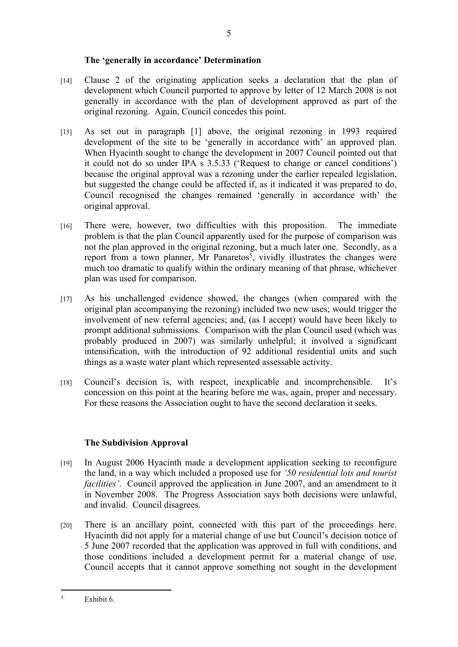#### **The 'generally in accordance' Determination**

- [14] Clause 2 of the originating application seeks a declaration that the plan of development which Council purported to approve by letter of 12 March 2008 is not generally in accordance with the plan of development approved as part of the original rezoning. Again, Council concedes this point.
- [15] As set out in paragraph [1] above, the original rezoning in 1993 required development of the site to be 'generally in accordance with' an approved plan. When Hyacinth sought to change the development in 2007 Council pointed out that it could not do so under IPA s 3.5.33 ('Request to change or cancel conditions') because the original approval was a rezoning under the earlier repealed legislation, but suggested the change could be affected if, as it indicated it was prepared to do, Council recognised the changes remained 'generally in accordance with' the original approval.
- [16] There were, however, two difficulties with this proposition. The immediate problem is that the plan Council apparently used for the purpose of comparison was not the plan approved in the original rezoning, but a much later one. Secondly, as a report from a town planner, Mr Panaretos<sup>5</sup>, vividly illustrates the changes were much too dramatic to qualify within the ordinary meaning of that phrase, whichever plan was used for comparison.
- [17] As his unchallenged evidence showed, the changes (when compared with the original plan accompanying the rezoning) included two new uses; would trigger the involvement of new referral agencies; and, (as I accept) would have been likely to prompt additional submissions. Comparison with the plan Council used (which was probably produced in 2007) was similarly unhelpful; it involved a significant intensification, with the introduction of 92 additional residential units and such things as a waste water plant which represented assessable activity.
- [18] Council's decision is, with respect, inexplicable and incomprehensible. It's concession on this point at the hearing before me was, again, proper and necessary. For these reasons the Association ought to have the second declaration it seeks.

# **The Subdivision Approval**

- [19] In August 2006 Hyacinth made a development application seeking to reconfigure the land, in a way which included a proposed use for *'50 residential lots and tourist facilities'*. Council approved the application in June 2007, and an amendment to it in November 2008. The Progress Association says both decisions were unlawful, and invalid. Council disagrees.
- [20] There is an ancillary point, connected with this part of the proceedings here. Hyacinth did not apply for a material change of use but Council's decision notice of 5 June 2007 recorded that the application was approved in full with conditions, and those conditions included a development permit for a material change of use. Council accepts that it cannot approve something not sought in the development

<sup>5</sup> Exhibit 6.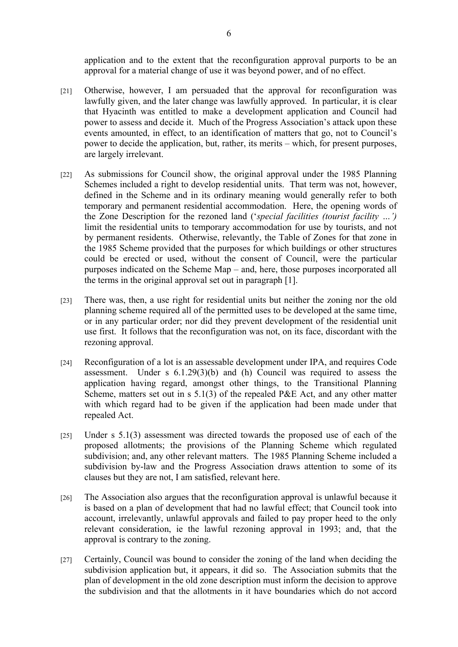application and to the extent that the reconfiguration approval purports to be an approval for a material change of use it was beyond power, and of no effect.

- [21] Otherwise, however, I am persuaded that the approval for reconfiguration was lawfully given, and the later change was lawfully approved. In particular, it is clear that Hyacinth was entitled to make a development application and Council had power to assess and decide it. Much of the Progress Association's attack upon these events amounted, in effect, to an identification of matters that go, not to Council's power to decide the application, but, rather, its merits – which, for present purposes, are largely irrelevant.
- [22] As submissions for Council show, the original approval under the 1985 Planning Schemes included a right to develop residential units. That term was not, however, defined in the Scheme and in its ordinary meaning would generally refer to both temporary and permanent residential accommodation. Here, the opening words of the Zone Description for the rezoned land ('*special facilities (tourist facility …')*  limit the residential units to temporary accommodation for use by tourists, and not by permanent residents. Otherwise, relevantly, the Table of Zones for that zone in the 1985 Scheme provided that the purposes for which buildings or other structures could be erected or used, without the consent of Council, were the particular purposes indicated on the Scheme Map – and, here, those purposes incorporated all the terms in the original approval set out in paragraph [1].
- [23] There was, then, a use right for residential units but neither the zoning nor the old planning scheme required all of the permitted uses to be developed at the same time, or in any particular order; nor did they prevent development of the residential unit use first. It follows that the reconfiguration was not, on its face, discordant with the rezoning approval.
- [24] Reconfiguration of a lot is an assessable development under IPA, and requires Code assessment. Under s 6.1.29(3)(b) and (h) Council was required to assess the application having regard, amongst other things, to the Transitional Planning Scheme, matters set out in s 5.1(3) of the repealed P&E Act, and any other matter with which regard had to be given if the application had been made under that repealed Act.
- [25] Under s 5.1(3) assessment was directed towards the proposed use of each of the proposed allotments; the provisions of the Planning Scheme which regulated subdivision; and, any other relevant matters. The 1985 Planning Scheme included a subdivision by-law and the Progress Association draws attention to some of its clauses but they are not, I am satisfied, relevant here.
- [26] The Association also argues that the reconfiguration approval is unlawful because it is based on a plan of development that had no lawful effect; that Council took into account, irrelevantly, unlawful approvals and failed to pay proper heed to the only relevant consideration, ie the lawful rezoning approval in 1993; and, that the approval is contrary to the zoning.
- [27] Certainly, Council was bound to consider the zoning of the land when deciding the subdivision application but, it appears, it did so. The Association submits that the plan of development in the old zone description must inform the decision to approve the subdivision and that the allotments in it have boundaries which do not accord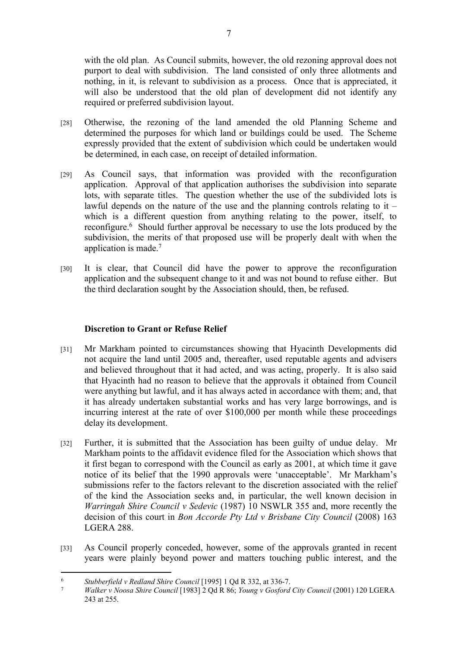with the old plan. As Council submits, however, the old rezoning approval does not purport to deal with subdivision. The land consisted of only three allotments and nothing, in it, is relevant to subdivision as a process. Once that is appreciated, it will also be understood that the old plan of development did not identify any required or preferred subdivision layout.

- [28] Otherwise, the rezoning of the land amended the old Planning Scheme and determined the purposes for which land or buildings could be used. The Scheme expressly provided that the extent of subdivision which could be undertaken would be determined, in each case, on receipt of detailed information.
- [29] As Council says, that information was provided with the reconfiguration application. Approval of that application authorises the subdivision into separate lots, with separate titles. The question whether the use of the subdivided lots is lawful depends on the nature of the use and the planning controls relating to it  $$ which is a different question from anything relating to the power, itself, to reconfigure.<sup>6</sup> Should further approval be necessary to use the lots produced by the subdivision, the merits of that proposed use will be properly dealt with when the application is made.<sup>7</sup>
- [30] It is clear, that Council did have the power to approve the reconfiguration application and the subsequent change to it and was not bound to refuse either. But the third declaration sought by the Association should, then, be refused.

# **Discretion to Grant or Refuse Relief**

- [31] Mr Markham pointed to circumstances showing that Hyacinth Developments did not acquire the land until 2005 and, thereafter, used reputable agents and advisers and believed throughout that it had acted, and was acting, properly. It is also said that Hyacinth had no reason to believe that the approvals it obtained from Council were anything but lawful, and it has always acted in accordance with them; and, that it has already undertaken substantial works and has very large borrowings, and is incurring interest at the rate of over \$100,000 per month while these proceedings delay its development.
- [32] Further, it is submitted that the Association has been guilty of undue delay. Mr Markham points to the affidavit evidence filed for the Association which shows that it first began to correspond with the Council as early as 2001, at which time it gave notice of its belief that the 1990 approvals were 'unacceptable'. Mr Markham's submissions refer to the factors relevant to the discretion associated with the relief of the kind the Association seeks and, in particular, the well known decision in *Warringah Shire Council v Sedevic* (1987) 10 NSWLR 355 and, more recently the decision of this court in *Bon Accorde Pty Ltd v Brisbane City Council* (2008) 163 LGERA 288.
- [33] As Council properly conceded, however, some of the approvals granted in recent years were plainly beyond power and matters touching public interest, and the

<sup>6</sup> *Stubberfield v Redland Shire Council* [1995] 1 Qd R 332, at 336-7.

<sup>7</sup> *Walker v Noosa Shire Council* [1983] 2 Qd R 86; *Young v Gosford City Council* (2001) 120 LGERA 243 at 255.